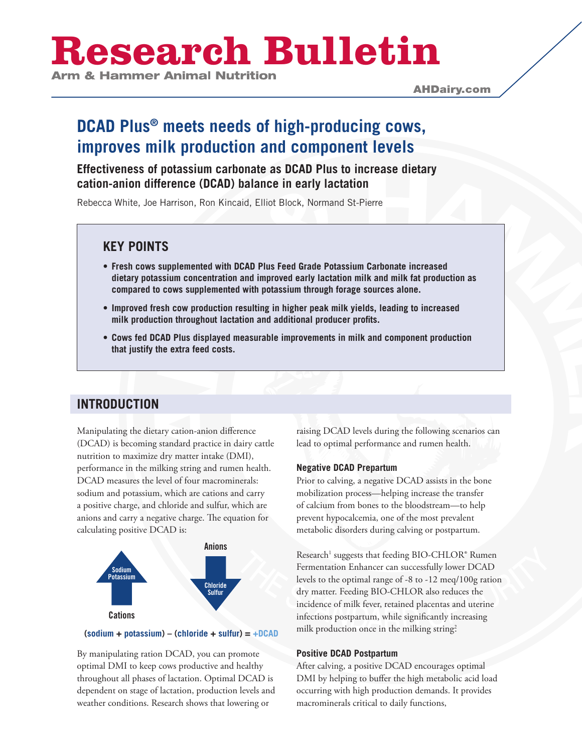# **Research Bulletin**

AHDairy.com

## **DCAD Plus® meets needs of high-producing cows, improves milk production and component levels**

## **Effectiveness of potassium carbonate as DCAD Plus to increase dietary cation-anion difference (DCAD) balance in early lactation**

Rebecca White, Joe Harrison, Ron Kincaid, Elliot Block, Normand St-Pierre

## **KEY POINTS**

- **• Fresh cows supplemented with DCAD Plus Feed Grade Potassium Carbonate increased dietary potassium concentration and improved early lactation milk and milk fat production as compared to cows supplemented with potassium through forage sources alone.**
- **• Improved fresh cow production resulting in higher peak milk yields, leading to increased milk production throughout lactation and additional producer profits.**
- **• Cows fed DCAD Plus displayed measurable improvements in milk and component production that justify the extra feed costs.**

## **INTRODUCTION**

Manipulating the dietary cation-anion difference (DCAD) is becoming standard practice in dairy cattle nutrition to maximize dry matter intake (DMI), performance in the milking string and rumen health. DCAD measures the level of four macrominerals: sodium and potassium, which are cations and carry a positive charge, and chloride and sulfur, which are anions and carry a negative charge. The equation for calculating positive DCAD is:



#### **(sodium + potassium) – (chloride + sulfur) = +DCAD**

By manipulating ration DCAD, you can promote optimal DMI to keep cows productive and healthy throughout all phases of lactation. Optimal DCAD is dependent on stage of lactation, production levels and weather conditions. Research shows that lowering or

raising DCAD levels during the following scenarios can lead to optimal performance and rumen health.

#### **Negative DCAD Prepartum**

Prior to calving, a negative DCAD assists in the bone mobilization process—helping increase the transfer of calcium from bones to the bloodstream—to help prevent hypocalcemia, one of the most prevalent metabolic disorders during calving or postpartum.

Research<sup>1</sup> suggests that feeding BIO-CHLOR® Rumen Fermentation Enhancer can successfully lower DCAD levels to the optimal range of -8 to -12 meq/100g ration dry matter. Feeding BIO-CHLOR also reduces the incidence of milk fever, retained placentas and uterine infections postpartum, while significantly increasing milk production once in the milking string?

#### **Positive DCAD Postpartum**

After calving, a positive DCAD encourages optimal DMI by helping to buffer the high metabolic acid load occurring with high production demands. It provides macrominerals critical to daily functions,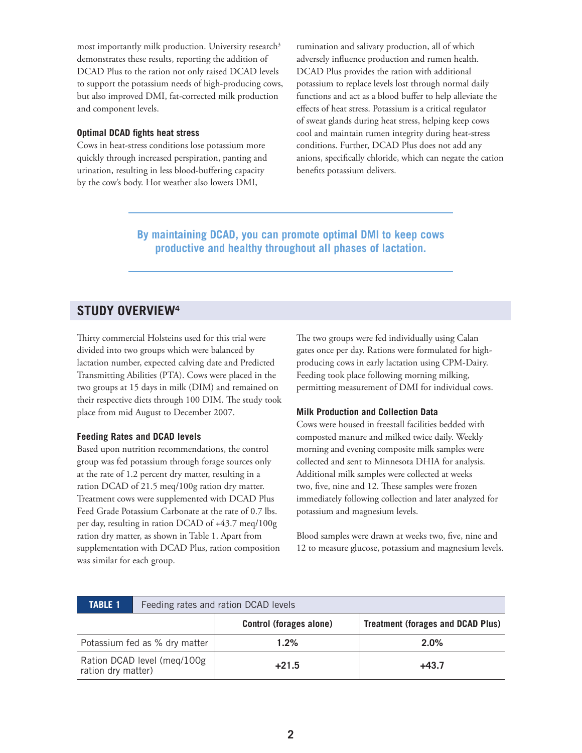most importantly milk production. University research<sup>3</sup> demonstrates these results, reporting the addition of DCAD Plus to the ration not only raised DCAD levels to support the potassium needs of high-producing cows, but also improved DMI, fat-corrected milk production and component levels.

#### **Optimal DCAD fights heat stress**

Cows in heat-stress conditions lose potassium more quickly through increased perspiration, panting and urination, resulting in less blood-buffering capacity by the cow's body. Hot weather also lowers DMI,

rumination and salivary production, all of which adversely influence production and rumen health. DCAD Plus provides the ration with additional potassium to replace levels lost through normal daily functions and act as a blood buffer to help alleviate the effects of heat stress. Potassium is a critical regulator of sweat glands during heat stress, helping keep cows cool and maintain rumen integrity during heat-stress conditions. Further, DCAD Plus does not add any anions, specifically chloride, which can negate the cation benefits potassium delivers.

**By maintaining DCAD, you can promote optimal DMI to keep cows productive and healthy throughout all phases of lactation.**

## **STUDY OVERVIEW4**

Thirty commercial Holsteins used for this trial were divided into two groups which were balanced by lactation number, expected calving date and Predicted Transmitting Abilities (PTA). Cows were placed in the two groups at 15 days in milk (DIM) and remained on their respective diets through 100 DIM. The study took place from mid August to December 2007.

#### **Feeding Rates and DCAD levels**

Based upon nutrition recommendations, the control group was fed potassium through forage sources only at the rate of 1.2 percent dry matter, resulting in a ration DCAD of 21.5 meq/100g ration dry matter. Treatment cows were supplemented with DCAD Plus Feed Grade Potassium Carbonate at the rate of 0.7 lbs. per day, resulting in ration DCAD of +43.7 meq/100g ration dry matter, as shown in Table 1. Apart from supplementation with DCAD Plus, ration composition was similar for each group.

The two groups were fed individually using Calan gates once per day. Rations were formulated for highproducing cows in early lactation using CPM-Dairy. Feeding took place following morning milking, permitting measurement of DMI for individual cows.

#### **Milk Production and Collection Data**

Cows were housed in freestall facilities bedded with composted manure and milked twice daily. Weekly morning and evening composite milk samples were collected and sent to Minnesota DHIA for analysis. Additional milk samples were collected at weeks two, five, nine and 12. These samples were frozen immediately following collection and later analyzed for potassium and magnesium levels.

Blood samples were drawn at weeks two, five, nine and 12 to measure glucose, potassium and magnesium levels.

| <b>TABLE 1</b>                                    | Feeding rates and ration DCAD levels |                                |                                          |
|---------------------------------------------------|--------------------------------------|--------------------------------|------------------------------------------|
|                                                   |                                      | <b>Control (forages alone)</b> | <b>Treatment (forages and DCAD Plus)</b> |
| Potassium fed as % dry matter                     |                                      | 1.2%                           | 2.0%                                     |
| Ration DCAD level (meg/100g<br>ration dry matter) |                                      | $+21.5$                        | $+43.7$                                  |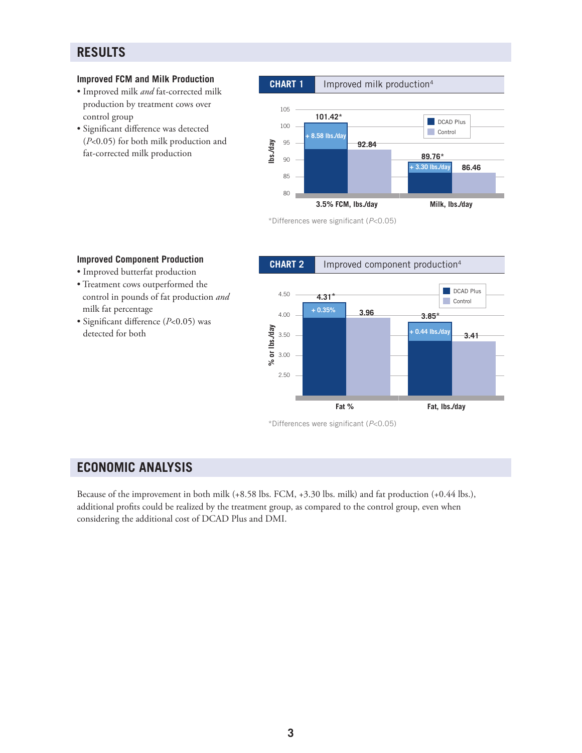## **RESULTS**

#### **Improved FCM and Milk Production**

- Improved milk *and* fat-corrected milk production by treatment cows over control group
- Significant difference was detected (*P*<0.05) for both milk production and fat-corrected milk production

**Improved Component Production** • Improved butterfat production • Treatment cows outperformed the control in pounds of fat production *and* 

• Significant difference (*P*<0.05) was

milk fat percentage

detected for both

#### **lbs./day** 95<br>**lbs./day** 95<br>90 100 95 90 85 **DCAD Plus Control 101.42\* 92.84 86.46 89.76\* + 8.58 lbs./day + 3.30 lbs./day CHART 1** Improved milk production<sup>4</sup>

**Milk, lbs./day**

\*Differences were significant (*P*<0.05)

**3.5% FCM, lbs./day**

80

#### **% or lbs./day** 4.50 4.00 3.50 3.00 2.50 **DCAD Plus Control Fat % 4.31\* Fat, lbs./day 3.41 3.96 + 0.35% 3.85\* + 0.44 lbs./day CHART 2** Improved component production<sup>4</sup>

\*Differences were significant (*P*<0.05)

## **ECONOMIC ANALYSIS**

Because of the improvement in both milk (+8.58 lbs. FCM, +3.30 lbs. milk) and fat production (+0.44 lbs.), additional profits could be realized by the treatment group, as compared to the control group, even when considering the additional cost of DCAD Plus and DMI.